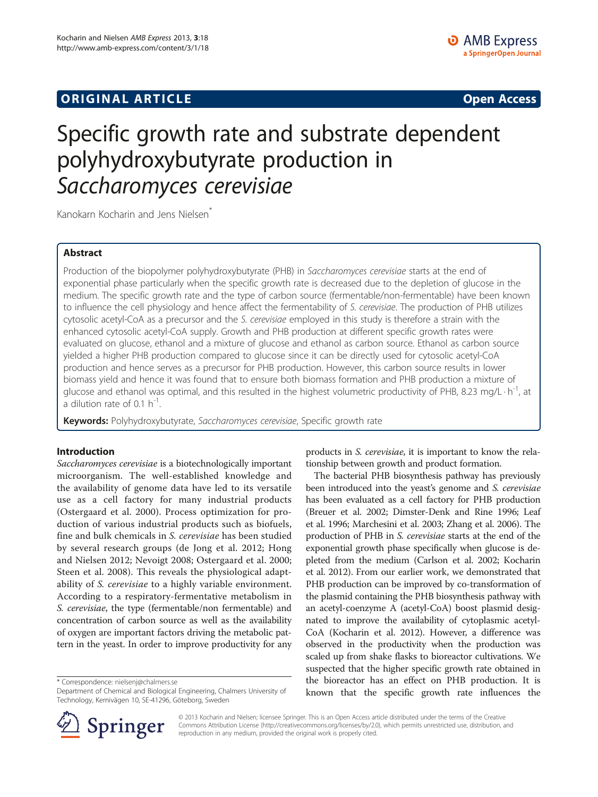## **ORIGINAL ARTICLE CONSERVANCE IN A LOCAL CONSERVANCE IN A LOCAL CONSERVANCE IN A LOCAL CONSERVANCE IN A LOCAL CONSERVANCE IN A LOCAL CONSERVANCE IN A LOCAL CONSERVANCE IN A LOCAL CONSERVANCE IN A LOCAL CONSERVANCE IN A L**

# Specific growth rate and substrate dependent polyhydroxybutyrate production in Saccharomyces cerevisiae

Kanokarn Kocharin and Jens Nielsen<sup>\*</sup>

## Abstract

Production of the biopolymer polyhydroxybutyrate (PHB) in Saccharomyces cerevisiae starts at the end of exponential phase particularly when the specific growth rate is decreased due to the depletion of glucose in the medium. The specific growth rate and the type of carbon source (fermentable/non-fermentable) have been known to influence the cell physiology and hence affect the fermentability of S. cerevisiae. The production of PHB utilizes cytosolic acetyl-CoA as a precursor and the S. cerevisiae employed in this study is therefore a strain with the enhanced cytosolic acetyl-CoA supply. Growth and PHB production at different specific growth rates were evaluated on glucose, ethanol and a mixture of glucose and ethanol as carbon source. Ethanol as carbon source yielded a higher PHB production compared to glucose since it can be directly used for cytosolic acetyl-CoA production and hence serves as a precursor for PHB production. However, this carbon source results in lower biomass yield and hence it was found that to ensure both biomass formation and PHB production a mixture of glucose and ethanol was optimal, and this resulted in the highest volumetric productivity of PHB, 8.23 mg/L $\cdot$ h<sup>-1</sup>, at a dilution rate of 0.1  $h^{-1}$ .

Keywords: Polyhydroxybutyrate, Saccharomyces cerevisiae, Specific growth rate

## Introduction

Saccharomyces cerevisiae is a biotechnologically important microorganism. The well-established knowledge and the availability of genome data have led to its versatile use as a cell factory for many industrial products (Ostergaard et al. [2000](#page-5-0)). Process optimization for production of various industrial products such as biofuels, fine and bulk chemicals in S. cerevisiae has been studied by several research groups (de Jong et al. [2012](#page-5-0); Hong and Nielsen [2012;](#page-5-0) Nevoigt [2008;](#page-5-0) Ostergaard et al. [2000](#page-5-0); Steen et al. [2008](#page-5-0)). This reveals the physiological adaptability of S. cerevisiae to a highly variable environment. According to a respiratory-fermentative metabolism in S. cerevisiae, the type (fermentable/non fermentable) and concentration of carbon source as well as the availability of oxygen are important factors driving the metabolic pattern in the yeast. In order to improve productivity for any

\* Correspondence: [nielsenj@chalmers.se](mailto:nielsenj@chalmers.se)

Department of Chemical and Biological Engineering, Chalmers University of Technology, Kemivägen 10, SE-41296, Göteborg, Sweden



The bacterial PHB biosynthesis pathway has previously been introduced into the yeast's genome and S. cerevisiae has been evaluated as a cell factory for PHB production (Breuer et al. [2002](#page-5-0); Dimster-Denk and Rine [1996;](#page-5-0) Leaf et al. [1996;](#page-5-0) Marchesini et al. [2003;](#page-5-0) Zhang et al. [2006\)](#page-5-0). The production of PHB in S. cerevisiae starts at the end of the exponential growth phase specifically when glucose is depleted from the medium (Carlson et al. [2002](#page-5-0); Kocharin et al. [2012\)](#page-5-0). From our earlier work, we demonstrated that PHB production can be improved by co-transformation of the plasmid containing the PHB biosynthesis pathway with an acetyl-coenzyme A (acetyl-CoA) boost plasmid designated to improve the availability of cytoplasmic acetyl-CoA (Kocharin et al. [2012\)](#page-5-0). However, a difference was observed in the productivity when the production was scaled up from shake flasks to bioreactor cultivations. We suspected that the higher specific growth rate obtained in the bioreactor has an effect on PHB production. It is known that the specific growth rate influences the



© 2013 Kocharin and Nielsen; licensee Springer. This is an Open Access article distributed under the terms of the Creative Commons Attribution License (<http://creativecommons.org/licenses/by/2.0>), which permits unrestricted use, distribution, and reproduction in any medium, provided the original work is properly cited.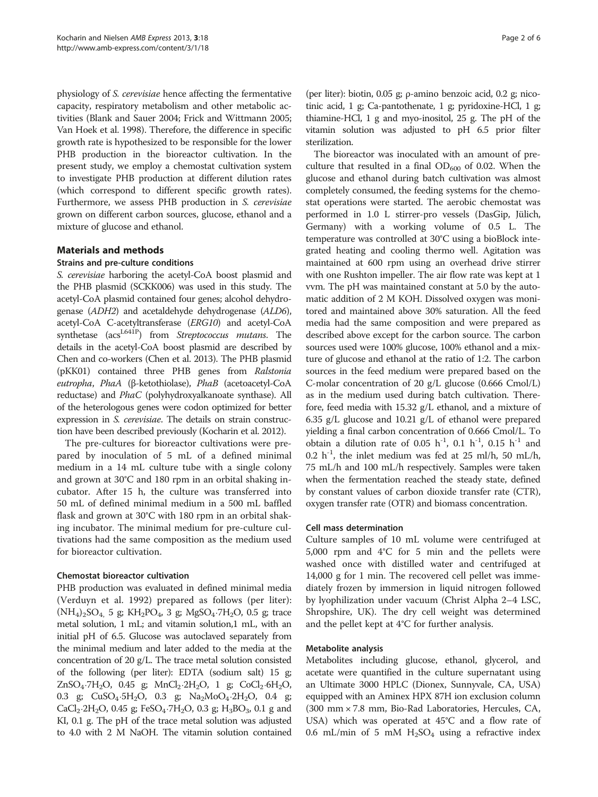physiology of S. cerevisiae hence affecting the fermentative capacity, respiratory metabolism and other metabolic activities (Blank and Sauer [2004;](#page-5-0) Frick and Wittmann [2005](#page-5-0); Van Hoek et al. [1998\)](#page-5-0). Therefore, the difference in specific growth rate is hypothesized to be responsible for the lower PHB production in the bioreactor cultivation. In the present study, we employ a chemostat cultivation system to investigate PHB production at different dilution rates (which correspond to different specific growth rates). Furthermore, we assess PHB production in S. cerevisiae grown on different carbon sources, glucose, ethanol and a mixture of glucose and ethanol.

## Materials and methods

## Strains and pre-culture conditions

S. cerevisiae harboring the acetyl-CoA boost plasmid and the PHB plasmid (SCKK006) was used in this study. The acetyl-CoA plasmid contained four genes; alcohol dehydrogenase (ADH2) and acetaldehyde dehydrogenase (ALD6), acetyl-CoA C-acetyltransferase (ERG10) and acetyl-CoA synthetase (acs<sup>L641P</sup>) from Streptococcus mutans. The details in the acetyl-CoA boost plasmid are described by Chen and co-workers (Chen et al. [2013](#page-5-0)). The PHB plasmid (pKK01) contained three PHB genes from Ralstonia eutropha, PhaA (β-ketothiolase), PhaB (acetoacetyl-CoA reductase) and PhaC (polyhydroxyalkanoate synthase). All of the heterologous genes were codon optimized for better expression in S. cerevisiae. The details on strain construction have been described previously (Kocharin et al. [2012\)](#page-5-0).

The pre-cultures for bioreactor cultivations were prepared by inoculation of 5 mL of a defined minimal medium in a 14 mL culture tube with a single colony and grown at 30°C and 180 rpm in an orbital shaking incubator. After 15 h, the culture was transferred into 50 mL of defined minimal medium in a 500 mL baffled flask and grown at 30°C with 180 rpm in an orbital shaking incubator. The minimal medium for pre-culture cultivations had the same composition as the medium used for bioreactor cultivation.

## Chemostat bioreactor cultivation

PHB production was evaluated in defined minimal media (Verduyn et al. [1992](#page-5-0)) prepared as follows (per liter):  $(NH_4)_2SO_4$ , 5 g;  $KH_2PO_4$ , 3 g;  $MgSO_4 \cdot 7H_2O$ , 0.5 g; trace metal solution, 1 mL; and vitamin solution,1 mL, with an initial pH of 6.5. Glucose was autoclaved separately from the minimal medium and later added to the media at the concentration of 20 g/L. The trace metal solution consisted of the following (per liter): EDTA (sodium salt) 15 g;  $ZnSO_4.7H_2O$ , 0.45 g; MnCl<sub>2</sub>⋅2H<sub>2</sub>O, 1 g; CoCl<sub>2</sub>⋅6H<sub>2</sub>O, 0.3 g;  $CuSO_4·5H_2O$ , 0.3 g;  $Na_2MoO_4·2H_2O$ , 0.4 g;  $CaCl<sub>2</sub>·2H<sub>2</sub>O$ , 0.45 g; FeSO<sub>4</sub>⋅7H<sub>2</sub>O, 0.3 g; H<sub>3</sub>BO<sub>3</sub>, 0.1 g and KI, 0.1 g. The pH of the trace metal solution was adjusted to 4.0 with 2 M NaOH. The vitamin solution contained (per liter): biotin, 0.05 g; ρ-amino benzoic acid, 0.2 g; nicotinic acid, 1 g; Ca-pantothenate, 1 g; pyridoxine-HCl, 1 g; thiamine-HCl, 1 g and myo-inositol, 25 g. The pH of the vitamin solution was adjusted to pH 6.5 prior filter sterilization.

The bioreactor was inoculated with an amount of preculture that resulted in a final  $OD_{600}$  of 0.02. When the glucose and ethanol during batch cultivation was almost completely consumed, the feeding systems for the chemostat operations were started. The aerobic chemostat was performed in 1.0 L stirrer-pro vessels (DasGip, Jülich, Germany) with a working volume of 0.5 L. The temperature was controlled at 30°C using a bioBlock integrated heating and cooling thermo well. Agitation was maintained at 600 rpm using an overhead drive stirrer with one Rushton impeller. The air flow rate was kept at 1 vvm. The pH was maintained constant at 5.0 by the automatic addition of 2 M KOH. Dissolved oxygen was monitored and maintained above 30% saturation. All the feed media had the same composition and were prepared as described above except for the carbon source. The carbon sources used were 100% glucose, 100% ethanol and a mixture of glucose and ethanol at the ratio of 1:2. The carbon sources in the feed medium were prepared based on the C-molar concentration of 20 g/L glucose (0.666 Cmol/L) as in the medium used during batch cultivation. Therefore, feed media with 15.32 g/L ethanol, and a mixture of 6.35 g/L glucose and 10.21 g/L of ethanol were prepared yielding a final carbon concentration of 0.666 Cmol/L. To obtain a dilution rate of 0.05 h<sup>-1</sup>, 0.1 h<sup>-1</sup>, 0.15 h<sup>-1</sup> and 0.2 h<sup>-1</sup>, the inlet medium was fed at 25 ml/h, 50 mL/h, 75 mL/h and 100 mL/h respectively. Samples were taken when the fermentation reached the steady state, defined by constant values of carbon dioxide transfer rate (CTR), oxygen transfer rate (OTR) and biomass concentration.

## Cell mass determination

Culture samples of 10 mL volume were centrifuged at 5,000 rpm and 4°C for 5 min and the pellets were washed once with distilled water and centrifuged at 14,000 g for 1 min. The recovered cell pellet was immediately frozen by immersion in liquid nitrogen followed by lyophilization under vacuum (Christ Alpha 2–4 LSC, Shropshire, UK). The dry cell weight was determined and the pellet kept at 4°C for further analysis.

## Metabolite analysis

Metabolites including glucose, ethanol, glycerol, and acetate were quantified in the culture supernatant using an Ultimate 3000 HPLC (Dionex, Sunnyvale, CA, USA) equipped with an Aminex HPX 87H ion exclusion column (300 mm × 7.8 mm, Bio-Rad Laboratories, Hercules, CA, USA) which was operated at 45°C and a flow rate of 0.6 mL/min of 5 mM  $H<sub>2</sub>SO<sub>4</sub>$  using a refractive index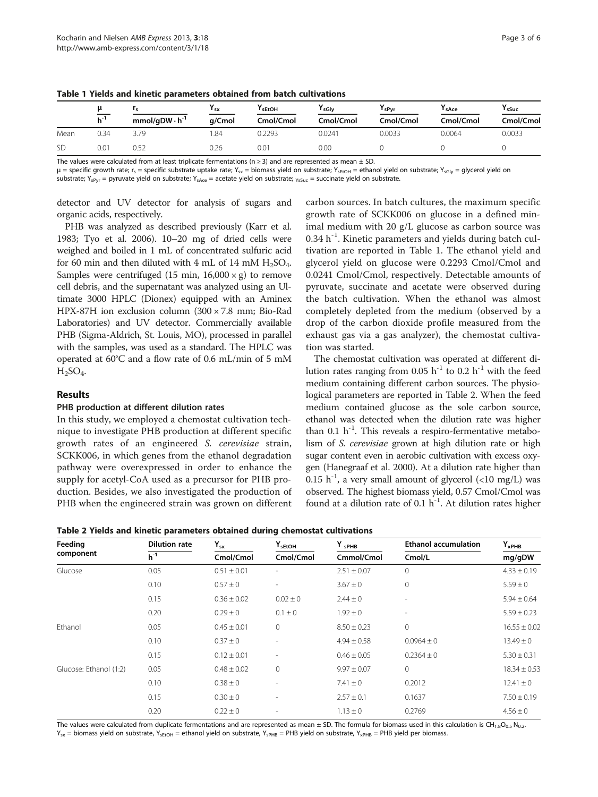|      | μ            |                         | ' sx   | I sEtOH   | <sup>I</sup> sGlv | ∎ sPvr    | <sup>I</sup> sAce | <sup>I</sup> sSuc |
|------|--------------|-------------------------|--------|-----------|-------------------|-----------|-------------------|-------------------|
|      | $h^{\prime}$ | $mmol/qDW \cdot h^{-1}$ | a/Cmol | Cmol/Cmol | Cmol/Cmol         | Cmol/Cmol | Cmol/Cmol         | Cmol/Cmol         |
| Mean | 0.34         |                         | .84    | 0.2293    | 0.0241            | 0.0033    | 0.0064            | 0.0033            |
|      | 0.Oʻ         | $-$<br>U.52             | 0.26   | 0.01      | 0.00              |           |                   |                   |

Table 1 Yields and kinetic parameters obtained from batch cultivations

The values were calculated from at least triplicate fermentations ( $n \geq 3$ ) and are represented as mean  $\pm$  SD.

 $\mu$  = specific growth rate; r<sub>s</sub> = specific substrate uptake rate; Y<sub>sx</sub> = biomass yield on substrate; Y<sub>sEtOH</sub> = ethanol yield on substrate; Y<sub>sGly</sub> = glycerol yield on substrate; Y<sub>sPyr</sub> = pyruvate yield on substrate; Y<sub>sAce</sub> = acetate yield on substrate; <sub>YsSuc</sub> = succinate yield on substrate.

detector and UV detector for analysis of sugars and organic acids, respectively.

PHB was analyzed as described previously (Karr et al. [1983;](#page-5-0) Tyo et al. [2006\)](#page-5-0). 10–20 mg of dried cells were weighed and boiled in 1 mL of concentrated sulfuric acid for 60 min and then diluted with 4 mL of 14 mM  $H_2SO_4$ . Samples were centrifuged (15 min,  $16,000 \times g$ ) to remove cell debris, and the supernatant was analyzed using an Ultimate 3000 HPLC (Dionex) equipped with an Aminex HPX-87H ion exclusion column (300 × 7.8 mm; Bio-Rad Laboratories) and UV detector. Commercially available PHB (Sigma-Aldrich, St. Louis, MO), processed in parallel with the samples, was used as a standard. The HPLC was operated at 60°C and a flow rate of 0.6 mL/min of 5 mM  $H_2SO_4$ .

## Results

## PHB production at different dilution rates

In this study, we employed a chemostat cultivation technique to investigate PHB production at different specific growth rates of an engineered S. cerevisiae strain, SCKK006, in which genes from the ethanol degradation pathway were overexpressed in order to enhance the supply for acetyl-CoA used as a precursor for PHB production. Besides, we also investigated the production of PHB when the engineered strain was grown on different

carbon sources. In batch cultures, the maximum specific growth rate of SCKK006 on glucose in a defined minimal medium with 20 g/L glucose as carbon source was 0.34 h<sup>-1</sup>. Kinetic parameters and yields during batch cultivation are reported in Table 1. The ethanol yield and glycerol yield on glucose were 0.2293 Cmol/Cmol and 0.0241 Cmol/Cmol, respectively. Detectable amounts of pyruvate, succinate and acetate were observed during the batch cultivation. When the ethanol was almost completely depleted from the medium (observed by a drop of the carbon dioxide profile measured from the exhaust gas via a gas analyzer), the chemostat cultivation was started.

The chemostat cultivation was operated at different dilution rates ranging from 0.05  $h^{-1}$  to 0.2  $h^{-1}$  with the feed medium containing different carbon sources. The physiological parameters are reported in Table 2. When the feed medium contained glucose as the sole carbon source, ethanol was detected when the dilution rate was higher than 0.1  $h^{-1}$ . This reveals a respiro-fermentative metabolism of S. cerevisiae grown at high dilution rate or high sugar content even in aerobic cultivation with excess oxygen (Hanegraaf et al. [2000\)](#page-5-0). At a dilution rate higher than 0.15  $h^{-1}$ , a very small amount of glycerol (<10 mg/L) was observed. The highest biomass yield, 0.57 Cmol/Cmol was found at a dilution rate of 0.1  $h^{-1}$ . At dilution rates higher

Table 2 Yields and kinetic parameters obtained during chemostat cultivations

| Feeding                | <b>Dilution rate</b> | $Y_{sx}$        | ${\mathsf Y}_{\mathsf{sEtOH}}$ | $Y_{sPHB}$      | <b>Ethanol accumulation</b> | $Y_{xPHB}$<br>mg/gDW |
|------------------------|----------------------|-----------------|--------------------------------|-----------------|-----------------------------|----------------------|
| component              | $h^{-1}$             | Cmol/Cmol       | Cmol/Cmol                      | Cmmol/Cmol      | Cmol/L                      |                      |
| Glucose                | 0.05                 | $0.51 \pm 0.01$ |                                | $2.51 \pm 0.07$ | $\circ$                     | $4.33 \pm 0.19$      |
|                        | 0.10                 | $0.57 \pm 0$    |                                | $3.67 \pm 0$    | 0                           | $5.59 \pm 0$         |
|                        | 0.15                 | $0.36 \pm 0.02$ | $0.02 \pm 0$                   | $2.44 \pm 0$    | $\overline{\phantom{0}}$    | $5.94 \pm 0.64$      |
|                        | 0.20                 | $0.29 \pm 0$    | $0.1 \pm 0$                    | $1.92 \pm 0$    | ۰                           | $5.59 \pm 0.23$      |
| Ethanol                | 0.05                 | $0.45 \pm 0.01$ | $\circ$                        | $8.50 \pm 0.23$ | 0                           | $16.55 \pm 0.02$     |
|                        | 0.10                 | $0.37 \pm 0$    |                                | $4.94 \pm 0.58$ | $0.0964 \pm 0$              | $13.49 \pm 0$        |
|                        | 0.15                 | $0.12 \pm 0.01$ | ۰                              | $0.46 \pm 0.05$ | $0.2364 \pm 0$              | $5.30 \pm 0.31$      |
| Glucose: Ethanol (1:2) | 0.05                 | $0.48 \pm 0.02$ | $\mathbf 0$                    | $9.97 \pm 0.07$ | 0                           | $18.34 \pm 0.53$     |
|                        | 0.10                 | $0.38 \pm 0$    |                                | $7.41 \pm 0$    | 0.2012                      | $12.41 \pm 0$        |
|                        | 0.15                 | $0.30 \pm 0$    |                                | $2.57 \pm 0.1$  | 0.1637                      | $7.50 \pm 0.19$      |
|                        | 0.20                 | $0.22 \pm 0$    |                                | $1.13 \pm 0$    | 0.2769                      | $4.56 \pm 0$         |

The values were calculated from duplicate fermentations and are represented as mean  $\pm$  SD. The formula for biomass used in this calculation is CH<sub>1.8</sub>O<sub>0.5</sub> N<sub>0.2</sub>.  $Y_{sx}$  = biomass yield on substrate,  $Y_{sEtOH}$  = ethanol yield on substrate,  $Y_{sPHB}$  = PHB yield on substrate,  $Y_{xPHB}$  = PHB yield per biomass.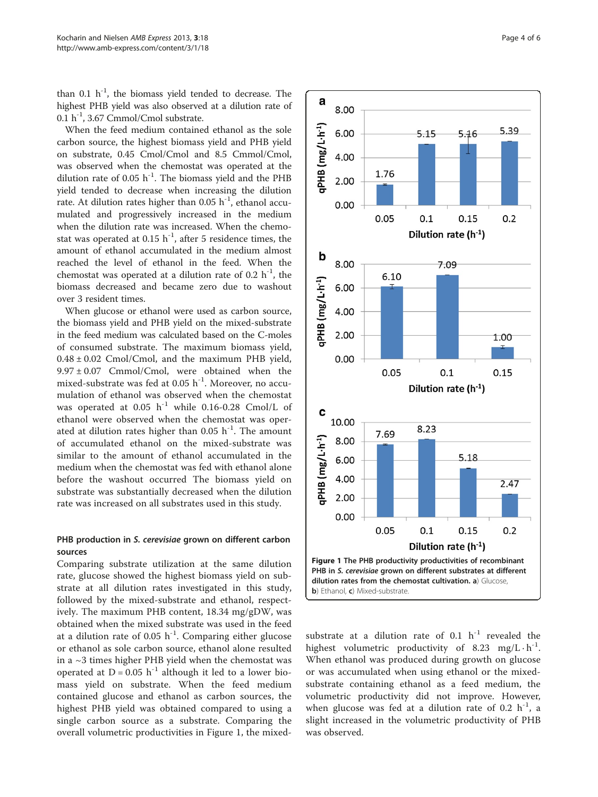than 0.1  $h^{-1}$ , the biomass yield tended to decrease. The highest PHB yield was also observed at a dilution rate of 0.1  $h^{-1}$ , 3.67 Cmmol/Cmol substrate.

When the feed medium contained ethanol as the sole carbon source, the highest biomass yield and PHB yield on substrate, 0.45 Cmol/Cmol and 8.5 Cmmol/Cmol, was observed when the chemostat was operated at the dilution rate of 0.05  $h^{-1}$ . The biomass yield and the PHB yield tended to decrease when increasing the dilution rate. At dilution rates higher than  $0.05$  h<sup>-1</sup>, ethanol accumulated and progressively increased in the medium when the dilution rate was increased. When the chemostat was operated at  $0.15$  h<sup>-1</sup>, after 5 residence times, the amount of ethanol accumulated in the medium almost reached the level of ethanol in the feed. When the chemostat was operated at a dilution rate of 0.2  $h^{-1}$ , the biomass decreased and became zero due to washout over 3 resident times.

When glucose or ethanol were used as carbon source, the biomass yield and PHB yield on the mixed-substrate in the feed medium was calculated based on the C-moles of consumed substrate. The maximum biomass yield,  $0.48 \pm 0.02$  Cmol/Cmol, and the maximum PHB yield,  $9.97 \pm 0.07$  Cmmol/Cmol, were obtained when the mixed-substrate was fed at  $0.05$  h<sup>-1</sup>. Moreover, no accumulation of ethanol was observed when the chemostat was operated at  $0.05$  h<sup>-1</sup> while 0.16-0.28 Cmol/L of ethanol were observed when the chemostat was operated at dilution rates higher than  $0.05$  h<sup>-1</sup>. The amount of accumulated ethanol on the mixed-substrate was similar to the amount of ethanol accumulated in the medium when the chemostat was fed with ethanol alone before the washout occurred The biomass yield on substrate was substantially decreased when the dilution rate was increased on all substrates used in this study.

## PHB production in S. cerevisiae grown on different carbon sources

Comparing substrate utilization at the same dilution rate, glucose showed the highest biomass yield on substrate at all dilution rates investigated in this study, followed by the mixed-substrate and ethanol, respectively. The maximum PHB content, 18.34 mg/gDW, was obtained when the mixed substrate was used in the feed at a dilution rate of 0.05  $h^{-1}$ . Comparing either glucose or ethanol as sole carbon source, ethanol alone resulted in a ~3 times higher PHB yield when the chemostat was operated at  $D = 0.05$  h<sup>-1</sup> although it led to a lower biomass yield on substrate. When the feed medium contained glucose and ethanol as carbon sources, the highest PHB yield was obtained compared to using a single carbon source as a substrate. Comparing the overall volumetric productivities in Figure 1, the mixed-



substrate at a dilution rate of 0.1  $h^{-1}$  revealed the highest volumetric productivity of 8.23 mg/L $\cdot$ h<sup>-1</sup>. When ethanol was produced during growth on glucose or was accumulated when using ethanol or the mixedsubstrate containing ethanol as a feed medium, the volumetric productivity did not improve. However, when glucose was fed at a dilution rate of 0.2  $h^{-1}$ , a slight increased in the volumetric productivity of PHB was observed.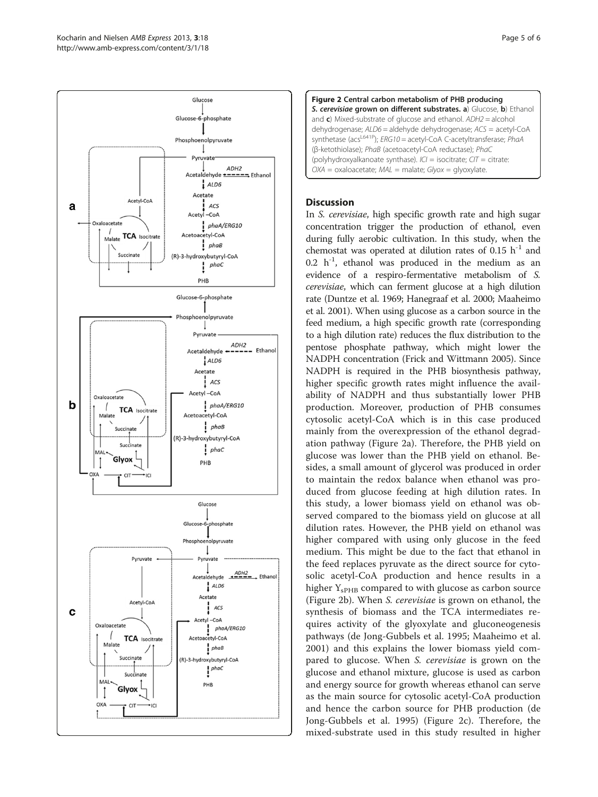





## **Discussion**

In S. cerevisiae, high specific growth rate and high sugar concentration trigger the production of ethanol, even during fully aerobic cultivation. In this study, when the chemostat was operated at dilution rates of 0.15  $h^{-1}$  and  $0.2 \text{ h}^{-1}$ , ethanol was produced in the medium as an evidence of a respiro-fermentative metabolism of S. cerevisiae, which can ferment glucose at a high dilution rate (Duntze et al. [1969;](#page-5-0) Hanegraaf et al. [2000;](#page-5-0) Maaheimo et al. [2001\)](#page-5-0). When using glucose as a carbon source in the feed medium, a high specific growth rate (corresponding to a high dilution rate) reduces the flux distribution to the pentose phosphate pathway, which might lower the NADPH concentration (Frick and Wittmann [2005\)](#page-5-0). Since NADPH is required in the PHB biosynthesis pathway, higher specific growth rates might influence the availability of NADPH and thus substantially lower PHB production. Moreover, production of PHB consumes cytosolic acetyl-CoA which is in this case produced mainly from the overexpression of the ethanol degradation pathway (Figure 2a). Therefore, the PHB yield on glucose was lower than the PHB yield on ethanol. Besides, a small amount of glycerol was produced in order to maintain the redox balance when ethanol was produced from glucose feeding at high dilution rates. In this study, a lower biomass yield on ethanol was observed compared to the biomass yield on glucose at all dilution rates. However, the PHB yield on ethanol was higher compared with using only glucose in the feed medium. This might be due to the fact that ethanol in the feed replaces pyruvate as the direct source for cytosolic acetyl-CoA production and hence results in a higher  $Y_{\rm sPHB}$  compared to with glucose as carbon source (Figure 2b). When S. cerevisiae is grown on ethanol, the synthesis of biomass and the TCA intermediates requires activity of the glyoxylate and gluconeogenesis pathways (de Jong-Gubbels et al. [1995;](#page-5-0) Maaheimo et al. [2001\)](#page-5-0) and this explains the lower biomass yield compared to glucose. When S. cerevisiae is grown on the glucose and ethanol mixture, glucose is used as carbon and energy source for growth whereas ethanol can serve as the main source for cytosolic acetyl-CoA production and hence the carbon source for PHB production (de Jong-Gubbels et al. [1995\)](#page-5-0) (Figure 2c). Therefore, the mixed-substrate used in this study resulted in higher